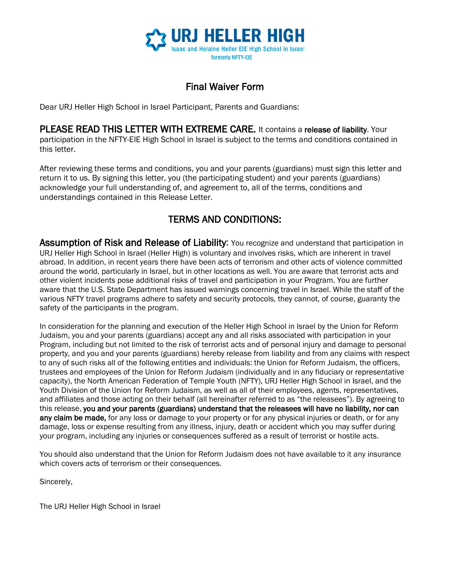

## Final Waiver Form

Dear URJ Heller High School in Israel Participant, Parents and Guardians:

PLEASE READ THIS LETTER WITH EXTREME CARE. It contains a release of liability. Your participation in the NFTY-EIE High School in Israel is subject to the terms and conditions contained in this letter.

After reviewing these terms and conditions, you and your parents (guardians) must sign this letter and return it to us. By signing this letter, you (the participating student) and your parents (guardians) acknowledge your full understanding of, and agreement to, all of the terms, conditions and understandings contained in this Release Letter.

## TERMS AND CONDITIONS:

Assumption of Risk and Release of Liability: You recognize and understand that participation in URJ Heller High School in Israel (Heller High) is voluntary and involves risks, which are inherent in travel abroad. In addition, in recent years there have been acts of terrorism and other acts of violence committed around the world, particularly in Israel, but in other locations as well. You are aware that terrorist acts and other violent incidents pose additional risks of travel and participation in your Program. You are further aware that the U.S. State Department has issued warnings concerning travel in Israel. While the staff of the various NFTY travel programs adhere to safety and security protocols, they cannot, of course, guaranty the safety of the participants in the program.

In consideration for the planning and execution of the Heller High School in Israel by the Union for Reform Judaism, you and your parents (guardians) accept any and all risks associated with participation in your Program, including but not limited to the risk of terrorist acts and of personal injury and damage to personal property, and you and your parents (guardians) hereby release from liability and from any claims with respect to any of such risks all of the following entities and individuals: the Union for Reform Judaism, the officers, trustees and employees of the Union for Reform Judaism (individually and in any fiduciary or representative capacity), the North American Federation of Temple Youth (NFTY), URJ Heller High School in Israel, and the Youth Division of the Union for Reform Judaism, as well as all of their employees, agents, representatives, and affiliates and those acting on their behalf (all hereinafter referred to as "the releasees"). By agreeing to this release, you and your parents (guardians) understand that the releasees will have no liability, nor can any claim be made, for any loss or damage to your property or for any physical injuries or death, or for any damage, loss or expense resulting from any illness, injury, death or accident which you may suffer during your program, including any injuries or consequences suffered as a result of terrorist or hostile acts.

You should also understand that the Union for Reform Judaism does not have available to it any insurance which covers acts of terrorism or their consequences.

Sincerely,

The URJ Heller High School in Israel